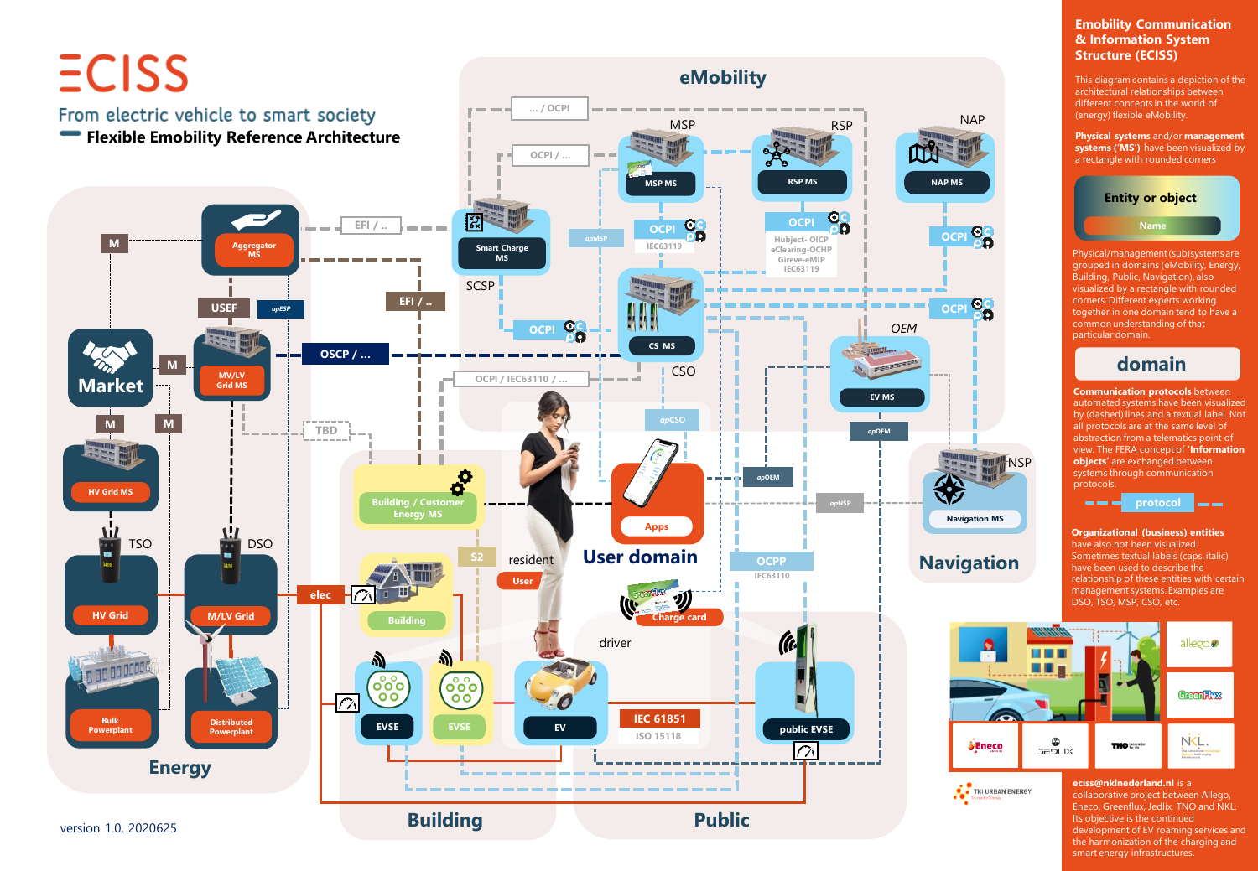

#### **Emobility Communication & Information System Structure (ECISS)**

This diagram contains a depiction of the architectural relationships between different concepts in the world of (energy) flexible eMobility.

**Physical systems** and/or **management systems ('MS')** have been visualized by a rectangle with rounded corners



Physical/management (sub)systems are grouped in domains (eMobility, Energy, Building, Public, Navigation), also visualized by a rectangle with rounded corners. Different experts working together in one domain tend to have a common understanding of that particular domain.

# **domain**

**Communication protocols** between automated systems have been visualized by (dashed) lines and a textual label. Not all protocols are at the same level of abstraction from a telematics point of view. The FERA concept of **'Information objects'** are exchanged between systems through communication protocols.



**Organizational (business) entities**  have also not been visualized. Sometimes textual labels (caps, italic) have been used to describe the relationship of these entities with certain management systems. Examples are DSO, TSO, MSP, CSO, etc.



TKI URBAN ENERGY

#### **eciss@nklnederland.nl** is a collaborative project between Allego, Eneco, Greenflux, Jedlix, TNO and NKL. Its objective is the continued development of EV roaming services and the harmonization of the charging and smart energy infrastructures.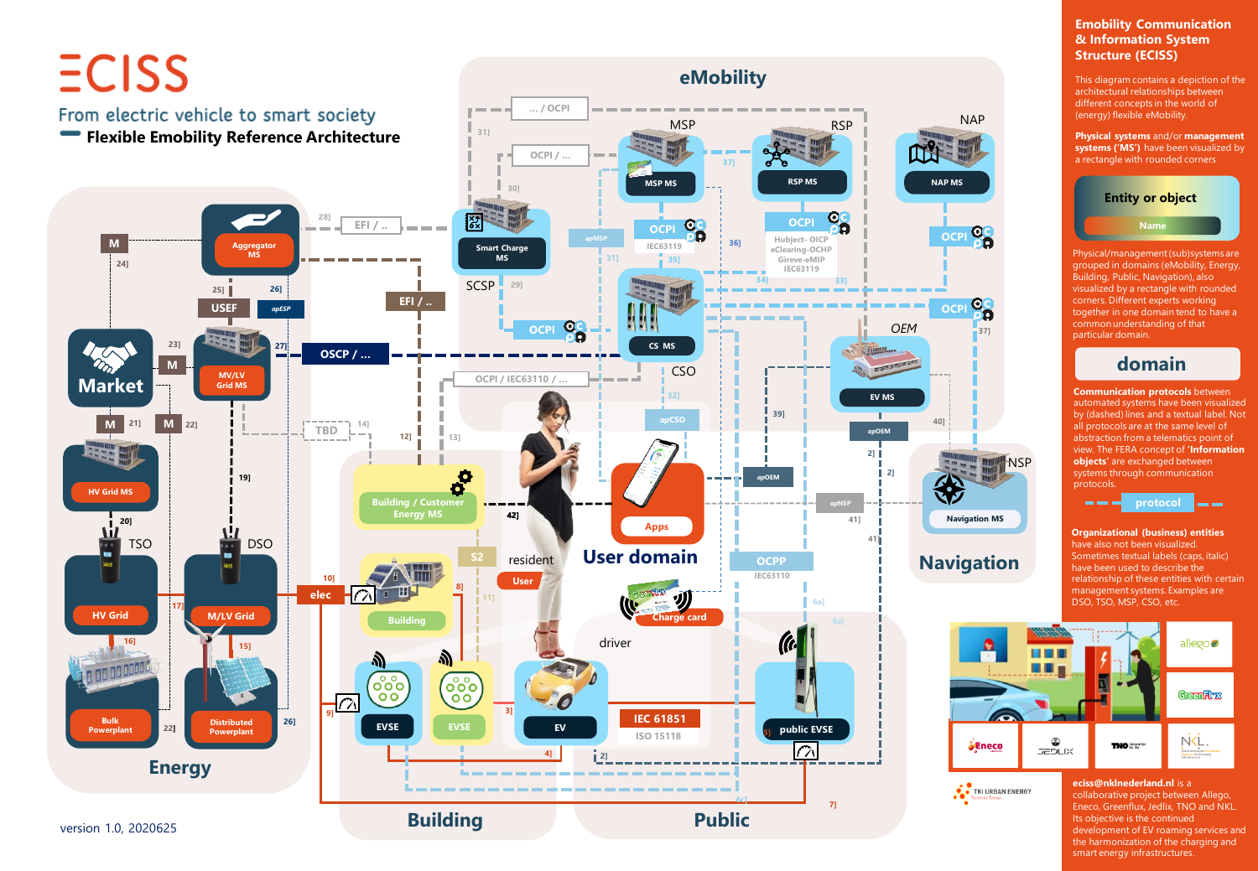

### **Emobility Communication & Information System Structure (ECISS)**

This diagram contains a depiction of the architectural relationships between different concepts in the world of (energy) flexible eMobility.

**Physical systems** and/or **management systems ('MS')** have been visualized by a rectangle with rounded corners



Physical/management (sub)systems are grouped in domains (eMobility, Energy, Building, Public, Navigation), also visualized by a rectangle with rounded corners. Different experts working together in one domain tend to have a common understanding of that particular domain.

# **domain**

**Communication protocols** between automated systems have been visualized by (dashed) lines and a textual label. Not all protocols are at the same level of abstraction from a telematics point of view. The FERA concept of **'Information objects'** are exchanged between systems through communication protocols.



**Organizational (business) entities**  have also not been visualized. Sometimes textual labels (caps, italic) have been used to describe the relationship of these entities with certain management systems. Examples are DSO, TSO, MSP, CSO, etc.



TKI URBAN ENERGY

**NSP** 

#### **eciss@nklnederland.nl** is a collaborative project between Allego, Eneco, Greenflux, Jedlix, TNO and NKL. Its objective is the continued development of EV roaming services and the harmonization of the charging and smart energy infrastructures.